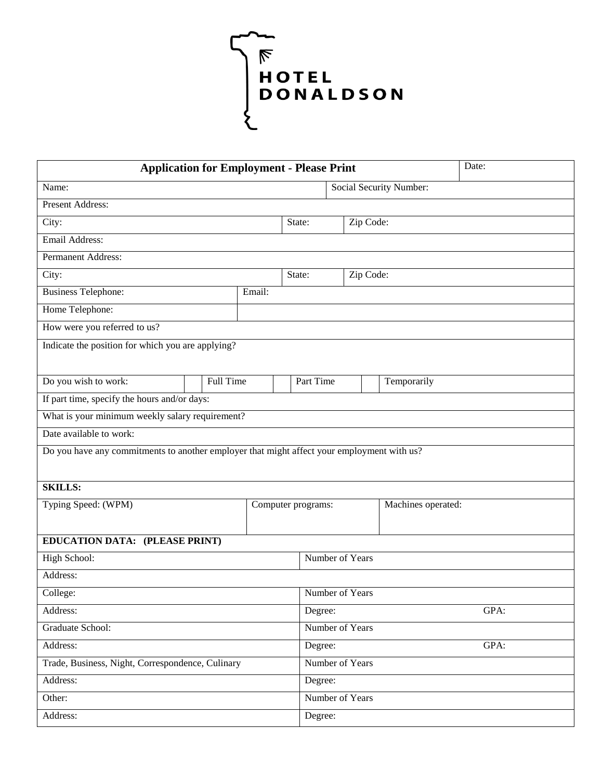

| Date:<br><b>Application for Employment - Please Print</b>                                  |                                   |  |                    |                 |                 |      |                    |  |  |
|--------------------------------------------------------------------------------------------|-----------------------------------|--|--------------------|-----------------|-----------------|------|--------------------|--|--|
| <b>Social Security Number:</b><br>Name:                                                    |                                   |  |                    |                 |                 |      |                    |  |  |
| <b>Present Address:</b>                                                                    |                                   |  |                    |                 |                 |      |                    |  |  |
| City:                                                                                      |                                   |  |                    | State:          | Zip Code:       |      |                    |  |  |
| Email Address:                                                                             |                                   |  |                    |                 |                 |      |                    |  |  |
| Permanent Address:                                                                         |                                   |  |                    |                 |                 |      |                    |  |  |
| City:                                                                                      | Zip Code:<br>State:               |  |                    |                 |                 |      |                    |  |  |
| <b>Business Telephone:</b>                                                                 | Email:                            |  |                    |                 |                 |      |                    |  |  |
| Home Telephone:                                                                            |                                   |  |                    |                 |                 |      |                    |  |  |
| How were you referred to us?                                                               |                                   |  |                    |                 |                 |      |                    |  |  |
| Indicate the position for which you are applying?                                          |                                   |  |                    |                 |                 |      |                    |  |  |
|                                                                                            |                                   |  |                    |                 |                 |      |                    |  |  |
|                                                                                            | Do you wish to work:<br>Full Time |  |                    | Part Time       |                 |      | Temporarily        |  |  |
| If part time, specify the hours and/or days:                                               |                                   |  |                    |                 |                 |      |                    |  |  |
| What is your minimum weekly salary requirement?                                            |                                   |  |                    |                 |                 |      |                    |  |  |
| Date available to work:                                                                    |                                   |  |                    |                 |                 |      |                    |  |  |
| Do you have any commitments to another employer that might affect your employment with us? |                                   |  |                    |                 |                 |      |                    |  |  |
| <b>SKILLS:</b>                                                                             |                                   |  |                    |                 |                 |      |                    |  |  |
| Typing Speed: (WPM)                                                                        |                                   |  | Computer programs: |                 |                 |      | Machines operated: |  |  |
| EDUCATION DATA: (PLEASE PRINT)                                                             |                                   |  |                    |                 |                 |      |                    |  |  |
| High School:                                                                               |                                   |  |                    | Number of Years |                 |      |                    |  |  |
| Address:                                                                                   |                                   |  |                    |                 |                 |      |                    |  |  |
| College:                                                                                   |                                   |  |                    |                 | Number of Years |      |                    |  |  |
| Address:                                                                                   |                                   |  |                    |                 | Degree:         | GPA: |                    |  |  |
| Graduate School:                                                                           |                                   |  |                    |                 | Number of Years |      |                    |  |  |
| Address:                                                                                   |                                   |  |                    |                 | GPA:<br>Degree: |      |                    |  |  |
| Trade, Business, Night, Correspondence, Culinary                                           |                                   |  |                    | Number of Years |                 |      |                    |  |  |
| Address:                                                                                   |                                   |  |                    | Degree:         |                 |      |                    |  |  |
| Other:                                                                                     |                                   |  |                    | Number of Years |                 |      |                    |  |  |
| Address:                                                                                   |                                   |  |                    | Degree:         |                 |      |                    |  |  |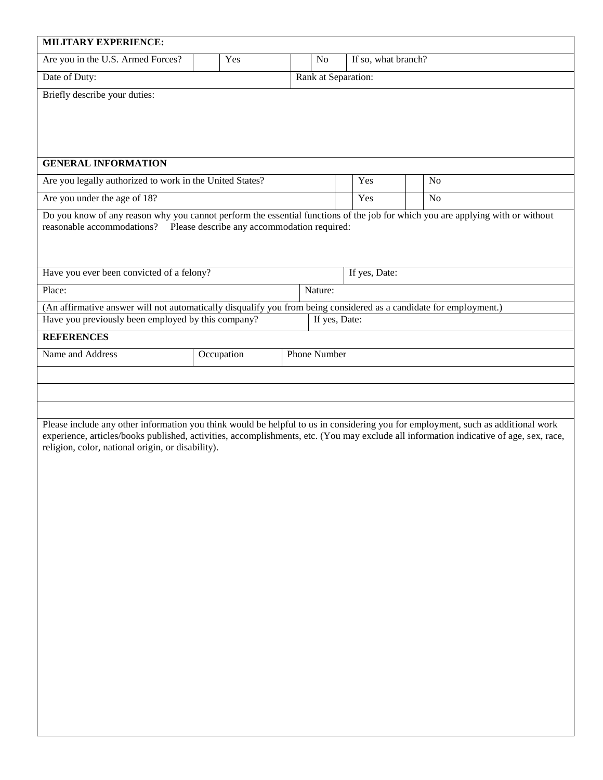| <b>MILITARY EXPERIENCE:</b>                                                                                                                                                                              |            |  |  |                     |                     |                |  |
|----------------------------------------------------------------------------------------------------------------------------------------------------------------------------------------------------------|------------|--|--|---------------------|---------------------|----------------|--|
| Are you in the U.S. Armed Forces?                                                                                                                                                                        | Yes        |  |  | N <sub>o</sub>      | If so, what branch? |                |  |
| Date of Duty:                                                                                                                                                                                            |            |  |  | Rank at Separation: |                     |                |  |
| Briefly describe your duties:                                                                                                                                                                            |            |  |  |                     |                     |                |  |
|                                                                                                                                                                                                          |            |  |  |                     |                     |                |  |
|                                                                                                                                                                                                          |            |  |  |                     |                     |                |  |
|                                                                                                                                                                                                          |            |  |  |                     |                     |                |  |
| <b>GENERAL INFORMATION</b>                                                                                                                                                                               |            |  |  |                     |                     |                |  |
| Are you legally authorized to work in the United States?                                                                                                                                                 |            |  |  |                     | Yes                 | N <sub>o</sub> |  |
| Are you under the age of 18?                                                                                                                                                                             |            |  |  |                     | Yes                 | N <sub>o</sub> |  |
| Do you know of any reason why you cannot perform the essential functions of the job for which you are applying with or without<br>reasonable accommodations? Please describe any accommodation required: |            |  |  |                     |                     |                |  |
|                                                                                                                                                                                                          |            |  |  |                     |                     |                |  |
|                                                                                                                                                                                                          |            |  |  |                     |                     |                |  |
| Have you ever been convicted of a felony?                                                                                                                                                                |            |  |  |                     | If yes, Date:       |                |  |
| Place:                                                                                                                                                                                                   |            |  |  | Nature:             |                     |                |  |
| (An affirmative answer will not automatically disqualify you from being considered as a candidate for employment.)<br>Have you previously been employed by this company?                                 |            |  |  | If yes, Date:       |                     |                |  |
| <b>REFERENCES</b>                                                                                                                                                                                        |            |  |  |                     |                     |                |  |
| Name and Address                                                                                                                                                                                         | Occupation |  |  | <b>Phone Number</b> |                     |                |  |
|                                                                                                                                                                                                          |            |  |  |                     |                     |                |  |
|                                                                                                                                                                                                          |            |  |  |                     |                     |                |  |
|                                                                                                                                                                                                          |            |  |  |                     |                     |                |  |
| Please include any other information you think would be helpful to us in considering you for employment, such as additional work                                                                         |            |  |  |                     |                     |                |  |
| experience, articles/books published, activities, accomplishments, etc. (You may exclude all information indicative of age, sex, race,                                                                   |            |  |  |                     |                     |                |  |
| religion, color, national origin, or disability).                                                                                                                                                        |            |  |  |                     |                     |                |  |
|                                                                                                                                                                                                          |            |  |  |                     |                     |                |  |
|                                                                                                                                                                                                          |            |  |  |                     |                     |                |  |
|                                                                                                                                                                                                          |            |  |  |                     |                     |                |  |
|                                                                                                                                                                                                          |            |  |  |                     |                     |                |  |
|                                                                                                                                                                                                          |            |  |  |                     |                     |                |  |
|                                                                                                                                                                                                          |            |  |  |                     |                     |                |  |
|                                                                                                                                                                                                          |            |  |  |                     |                     |                |  |
|                                                                                                                                                                                                          |            |  |  |                     |                     |                |  |
|                                                                                                                                                                                                          |            |  |  |                     |                     |                |  |
|                                                                                                                                                                                                          |            |  |  |                     |                     |                |  |
|                                                                                                                                                                                                          |            |  |  |                     |                     |                |  |
|                                                                                                                                                                                                          |            |  |  |                     |                     |                |  |
|                                                                                                                                                                                                          |            |  |  |                     |                     |                |  |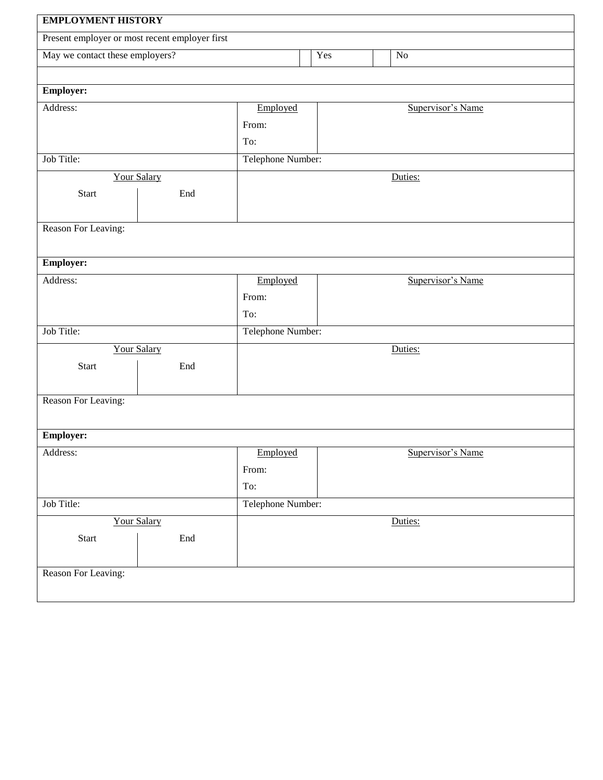| <b>EMPLOYMENT HISTORY</b>                      |                   |                   |                   |  |  |  |  |
|------------------------------------------------|-------------------|-------------------|-------------------|--|--|--|--|
| Present employer or most recent employer first |                   |                   |                   |  |  |  |  |
| May we contact these employers?                |                   | Yes               | $\rm No$          |  |  |  |  |
|                                                |                   |                   |                   |  |  |  |  |
| <b>Employer:</b>                               |                   |                   |                   |  |  |  |  |
| Address:                                       | Employed          |                   | Supervisor's Name |  |  |  |  |
|                                                | From:             |                   |                   |  |  |  |  |
|                                                | To:               |                   |                   |  |  |  |  |
| Job Title:                                     |                   | Telephone Number: |                   |  |  |  |  |
| <b>Your Salary</b>                             |                   | Duties:           |                   |  |  |  |  |
| <b>Start</b><br>End                            |                   |                   |                   |  |  |  |  |
|                                                |                   |                   |                   |  |  |  |  |
| Reason For Leaving:                            |                   |                   |                   |  |  |  |  |
|                                                |                   |                   |                   |  |  |  |  |
| <b>Employer:</b>                               |                   |                   |                   |  |  |  |  |
| Address:                                       | Employed          |                   | Supervisor's Name |  |  |  |  |
|                                                | From:             |                   |                   |  |  |  |  |
|                                                | To:               |                   |                   |  |  |  |  |
| Job Title:                                     |                   | Telephone Number: |                   |  |  |  |  |
| <b>Your Salary</b>                             |                   |                   | Duties:           |  |  |  |  |
| <b>Start</b><br>End                            |                   |                   |                   |  |  |  |  |
|                                                |                   |                   |                   |  |  |  |  |
| Reason For Leaving:                            |                   |                   |                   |  |  |  |  |
|                                                |                   |                   |                   |  |  |  |  |
| <b>Employer:</b>                               |                   |                   |                   |  |  |  |  |
| Address:                                       | Employed          |                   | Supervisor's Name |  |  |  |  |
|                                                | From:             |                   |                   |  |  |  |  |
|                                                | To:               |                   |                   |  |  |  |  |
| Job Title:                                     | Telephone Number: |                   |                   |  |  |  |  |
| <b>Your Salary</b>                             |                   |                   | Duties:           |  |  |  |  |
| Start<br>End                                   |                   |                   |                   |  |  |  |  |
|                                                |                   |                   |                   |  |  |  |  |
| Reason For Leaving:                            |                   |                   |                   |  |  |  |  |
|                                                |                   |                   |                   |  |  |  |  |